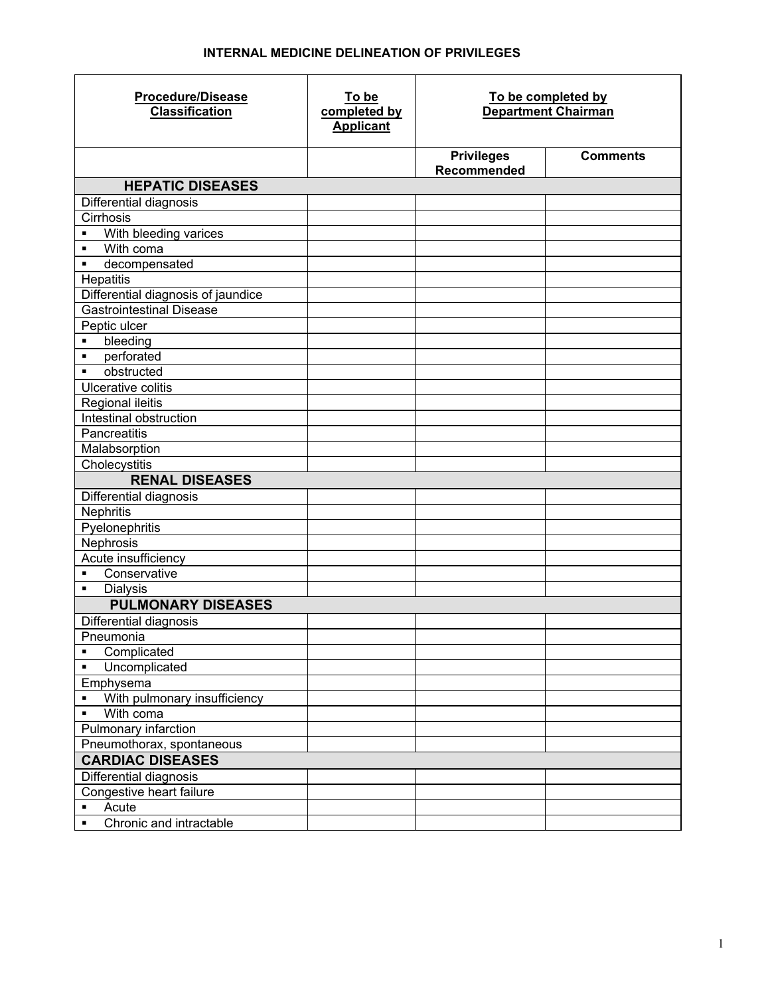## **INTERNAL MEDICINE DELINEATION OF PRIVILEGES**

| <b>Procedure/Disease</b><br><b>Classification</b> | To be<br>completed by<br><b>Applicant</b> | To be completed by<br><b>Department Chairman</b> |                 |
|---------------------------------------------------|-------------------------------------------|--------------------------------------------------|-----------------|
|                                                   |                                           | <b>Privileges</b><br><b>Recommended</b>          | <b>Comments</b> |
| <b>HEPATIC DISEASES</b>                           |                                           |                                                  |                 |
| Differential diagnosis                            |                                           |                                                  |                 |
| Cirrhosis                                         |                                           |                                                  |                 |
| With bleeding varices<br>٠                        |                                           |                                                  |                 |
| With coma<br>٠                                    |                                           |                                                  |                 |
| decompensated<br>٠                                |                                           |                                                  |                 |
| Hepatitis                                         |                                           |                                                  |                 |
| Differential diagnosis of jaundice                |                                           |                                                  |                 |
| <b>Gastrointestinal Disease</b>                   |                                           |                                                  |                 |
| Peptic ulcer                                      |                                           |                                                  |                 |
| bleeding<br>$\blacksquare$                        |                                           |                                                  |                 |
| perforated<br>$\blacksquare$                      |                                           |                                                  |                 |
| obstructed<br>$\blacksquare$                      |                                           |                                                  |                 |
| Ulcerative colitis                                |                                           |                                                  |                 |
| Regional ileitis<br>Intestinal obstruction        |                                           |                                                  |                 |
| Pancreatitis                                      |                                           |                                                  |                 |
| Malabsorption                                     |                                           |                                                  |                 |
| Cholecystitis                                     |                                           |                                                  |                 |
| <b>RENAL DISEASES</b>                             |                                           |                                                  |                 |
| Differential diagnosis                            |                                           |                                                  |                 |
| Nephritis                                         |                                           |                                                  |                 |
| Pyelonephritis                                    |                                           |                                                  |                 |
| Nephrosis                                         |                                           |                                                  |                 |
| Acute insufficiency                               |                                           |                                                  |                 |
| Conservative<br>$\blacksquare$                    |                                           |                                                  |                 |
| <b>Dialysis</b><br>$\blacksquare$                 |                                           |                                                  |                 |
| <b>PULMONARY DISEASES</b>                         |                                           |                                                  |                 |
| Differential diagnosis                            |                                           |                                                  |                 |
| Pneumonia                                         |                                           |                                                  |                 |
| Complicated<br>٠                                  |                                           |                                                  |                 |
| Uncomplicated<br>٠                                |                                           |                                                  |                 |
| Emphysema                                         |                                           |                                                  |                 |
| With pulmonary insufficiency                      |                                           |                                                  |                 |
| With coma<br>٠                                    |                                           |                                                  |                 |
| Pulmonary infarction                              |                                           |                                                  |                 |
| Pneumothorax, spontaneous                         |                                           |                                                  |                 |
| <b>CARDIAC DISEASES</b>                           |                                           |                                                  |                 |
| Differential diagnosis                            |                                           |                                                  |                 |
| Congestive heart failure                          |                                           |                                                  |                 |
| Acute<br>٠                                        |                                           |                                                  |                 |
| Chronic and intractable<br>$\blacksquare$         |                                           |                                                  |                 |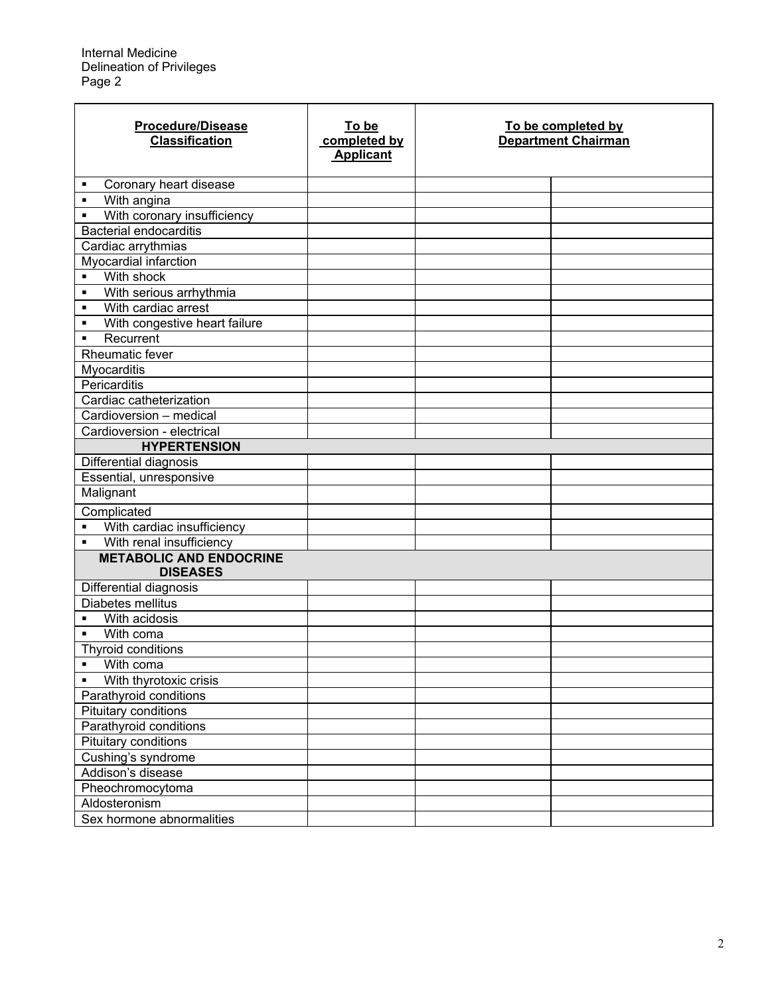| <b>Procedure/Disease</b><br><b>Classification</b> | To be<br>completed by<br><b>Applicant</b> | To be completed by<br><b>Department Chairman</b> |  |
|---------------------------------------------------|-------------------------------------------|--------------------------------------------------|--|
| Coronary heart disease<br>٠                       |                                           |                                                  |  |
| With angina<br>$\blacksquare$                     |                                           |                                                  |  |
| With coronary insufficiency<br>$\blacksquare$     |                                           |                                                  |  |
| <b>Bacterial endocarditis</b>                     |                                           |                                                  |  |
| Cardiac arrythmias                                |                                           |                                                  |  |
| Myocardial infarction                             |                                           |                                                  |  |
| With shock<br>$\blacksquare$                      |                                           |                                                  |  |
| With serious arrhythmia<br>$\blacksquare$         |                                           |                                                  |  |
| With cardiac arrest<br>$\blacksquare$             |                                           |                                                  |  |
| With congestive heart failure<br>$\blacksquare$   |                                           |                                                  |  |
| Recurrent<br>$\blacksquare$                       |                                           |                                                  |  |
| Rheumatic fever                                   |                                           |                                                  |  |
| Myocarditis                                       |                                           |                                                  |  |
| Pericarditis                                      |                                           |                                                  |  |
| Cardiac catheterization                           |                                           |                                                  |  |
| Cardioversion - medical                           |                                           |                                                  |  |
| Cardioversion - electrical                        |                                           |                                                  |  |
| <b>HYPERTENSION</b>                               |                                           |                                                  |  |
| Differential diagnosis                            |                                           |                                                  |  |
| Essential, unresponsive                           |                                           |                                                  |  |
| Malignant                                         |                                           |                                                  |  |
| Complicated                                       |                                           |                                                  |  |
| With cardiac insufficiency<br>$\blacksquare$      |                                           |                                                  |  |
| With renal insufficiency<br>$\blacksquare$        |                                           |                                                  |  |
| <b>METABOLIC AND ENDOCRINE</b><br><b>DISEASES</b> |                                           |                                                  |  |
| Differential diagnosis                            |                                           |                                                  |  |
| Diabetes mellitus                                 |                                           |                                                  |  |
| With acidosis                                     |                                           |                                                  |  |
| With coma<br>$\blacksquare$                       |                                           |                                                  |  |
| Thyroid conditions                                |                                           |                                                  |  |
| With coma<br>$\blacksquare$                       |                                           |                                                  |  |
| With thyrotoxic crisis<br>$\blacksquare$          |                                           |                                                  |  |
| Parathyroid conditions                            |                                           |                                                  |  |
| <b>Pituitary conditions</b>                       |                                           |                                                  |  |
| Parathyroid conditions                            |                                           |                                                  |  |
| Pituitary conditions                              |                                           |                                                  |  |
| Cushing's syndrome                                |                                           |                                                  |  |
| Addison's disease                                 |                                           |                                                  |  |
| Pheochromocytoma                                  |                                           |                                                  |  |
| Aldosteronism                                     |                                           |                                                  |  |
| Sex hormone abnormalities                         |                                           |                                                  |  |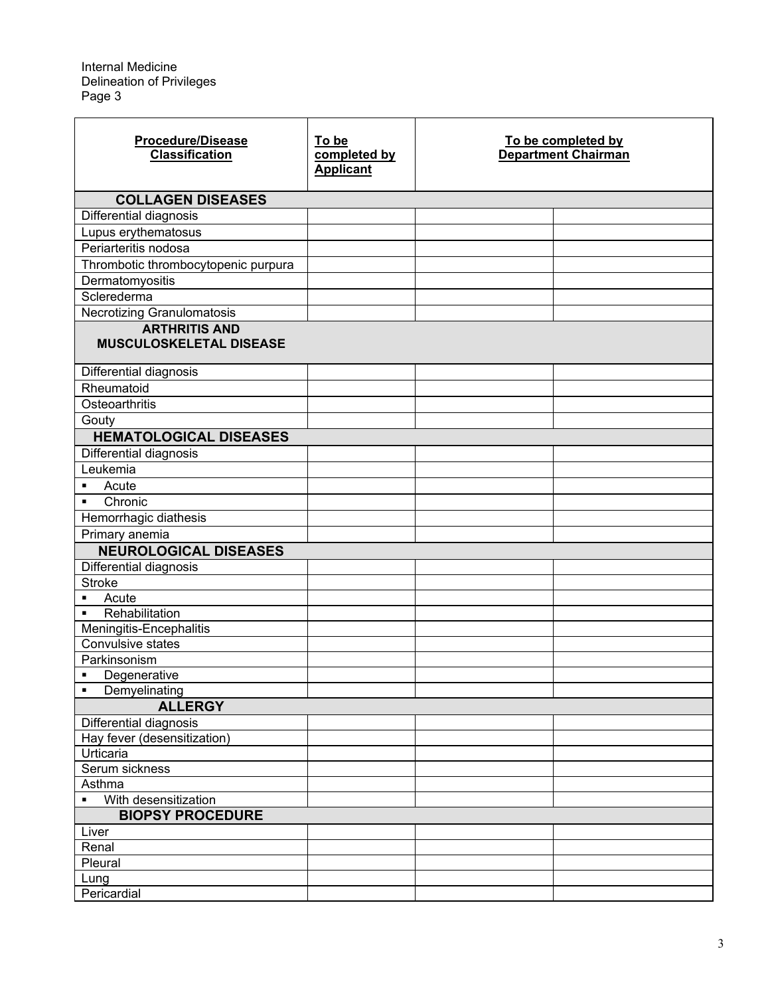| <b>Procedure/Disease</b><br><b>Classification</b>  | To be<br>completed by<br><b>Applicant</b> | To be completed by<br><b>Department Chairman</b> |  |
|----------------------------------------------------|-------------------------------------------|--------------------------------------------------|--|
| <b>COLLAGEN DISEASES</b>                           |                                           |                                                  |  |
| Differential diagnosis                             |                                           |                                                  |  |
| Lupus erythematosus                                |                                           |                                                  |  |
| Periarteritis nodosa                               |                                           |                                                  |  |
| Thrombotic thrombocytopenic purpura                |                                           |                                                  |  |
|                                                    |                                           |                                                  |  |
| Dermatomyositis<br>Sclerederma                     |                                           |                                                  |  |
|                                                    |                                           |                                                  |  |
| Necrotizing Granulomatosis<br><b>ARTHRITIS AND</b> |                                           |                                                  |  |
| <b>MUSCULOSKELETAL DISEASE</b>                     |                                           |                                                  |  |
| Differential diagnosis                             |                                           |                                                  |  |
| Rheumatoid                                         |                                           |                                                  |  |
| Osteoarthritis                                     |                                           |                                                  |  |
| Gouty                                              |                                           |                                                  |  |
| <b>HEMATOLOGICAL DISEASES</b>                      |                                           |                                                  |  |
| Differential diagnosis                             |                                           |                                                  |  |
| Leukemia                                           |                                           |                                                  |  |
| Acute<br>$\blacksquare$                            |                                           |                                                  |  |
| Chronic<br>$\blacksquare$                          |                                           |                                                  |  |
| Hemorrhagic diathesis                              |                                           |                                                  |  |
| Primary anemia                                     |                                           |                                                  |  |
| <b>NEUROLOGICAL DISEASES</b>                       |                                           |                                                  |  |
| Differential diagnosis                             |                                           |                                                  |  |
| <b>Stroke</b>                                      |                                           |                                                  |  |
| Acute<br>٠                                         |                                           |                                                  |  |
| Rehabilitation<br>٠                                |                                           |                                                  |  |
| Meningitis-Encephalitis                            |                                           |                                                  |  |
| Convulsive states                                  |                                           |                                                  |  |
| Parkinsonism                                       |                                           |                                                  |  |
| Degenerative                                       |                                           |                                                  |  |
| Demyelinating<br>$\blacksquare$                    |                                           |                                                  |  |
| <b>ALLERGY</b>                                     |                                           |                                                  |  |
| Differential diagnosis                             |                                           |                                                  |  |
| Hay fever (desensitization)                        |                                           |                                                  |  |
| Urticaria                                          |                                           |                                                  |  |
| Serum sickness                                     |                                           |                                                  |  |
| Asthma                                             |                                           |                                                  |  |
| With desensitization<br>$\blacksquare$             |                                           |                                                  |  |
| <b>BIOPSY PROCEDURE</b>                            |                                           |                                                  |  |
| Liver                                              |                                           |                                                  |  |
| Renal                                              |                                           |                                                  |  |
| Pleural                                            |                                           |                                                  |  |
| Lung                                               |                                           |                                                  |  |
| Pericardial                                        |                                           |                                                  |  |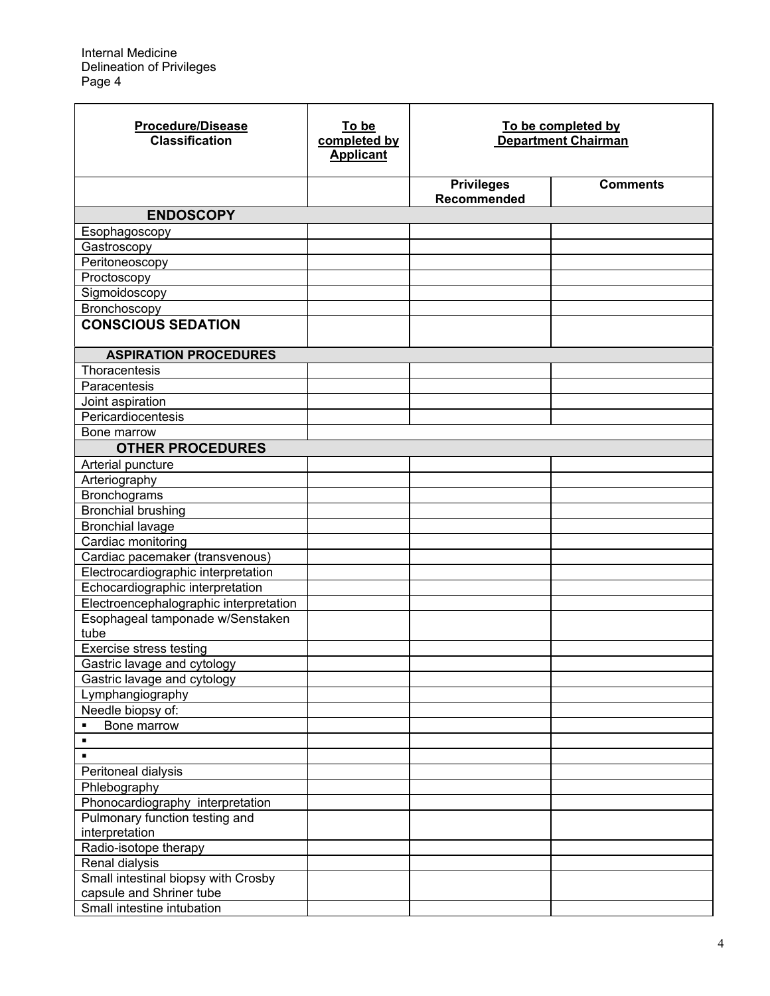| <b>Procedure/Disease</b><br><b>Classification</b> | To be<br>completed by<br><b>Applicant</b> | To be completed by<br><b>Department Chairman</b> |                 |
|---------------------------------------------------|-------------------------------------------|--------------------------------------------------|-----------------|
|                                                   |                                           | <b>Privileges</b><br><b>Recommended</b>          | <b>Comments</b> |
| <b>ENDOSCOPY</b>                                  |                                           |                                                  |                 |
| Esophagoscopy                                     |                                           |                                                  |                 |
| Gastroscopy                                       |                                           |                                                  |                 |
| Peritoneoscopy                                    |                                           |                                                  |                 |
| Proctoscopy                                       |                                           |                                                  |                 |
| Sigmoidoscopy                                     |                                           |                                                  |                 |
| Bronchoscopy                                      |                                           |                                                  |                 |
| <b>CONSCIOUS SEDATION</b>                         |                                           |                                                  |                 |
| <b>ASPIRATION PROCEDURES</b>                      |                                           |                                                  |                 |
| Thoracentesis                                     |                                           |                                                  |                 |
| Paracentesis                                      |                                           |                                                  |                 |
| Joint aspiration                                  |                                           |                                                  |                 |
| Pericardiocentesis                                |                                           |                                                  |                 |
| Bone marrow                                       |                                           |                                                  |                 |
| <b>OTHER PROCEDURES</b>                           |                                           |                                                  |                 |
| Arterial puncture                                 |                                           |                                                  |                 |
| Arteriography                                     |                                           |                                                  |                 |
| Bronchograms                                      |                                           |                                                  |                 |
| <b>Bronchial brushing</b>                         |                                           |                                                  |                 |
| <b>Bronchial lavage</b>                           |                                           |                                                  |                 |
| Cardiac monitoring                                |                                           |                                                  |                 |
| Cardiac pacemaker (transvenous)                   |                                           |                                                  |                 |
| Electrocardiographic interpretation               |                                           |                                                  |                 |
| Echocardiographic interpretation                  |                                           |                                                  |                 |
| Electroencephalographic interpretation            |                                           |                                                  |                 |
| Esophageal tamponade w/Senstaken                  |                                           |                                                  |                 |
| tube                                              |                                           |                                                  |                 |
| <b>Exercise</b> stress testing                    |                                           |                                                  |                 |
| Gastric lavage and cytology                       |                                           |                                                  |                 |
| Gastric lavage and cytology                       |                                           |                                                  |                 |
| Lymphangiography                                  |                                           |                                                  |                 |
| Needle biopsy of:                                 |                                           |                                                  |                 |
| Bone marrow<br>٠<br>$\blacksquare$                |                                           |                                                  |                 |
| $\blacksquare$                                    |                                           |                                                  |                 |
|                                                   |                                           |                                                  |                 |
| Peritoneal dialysis                               |                                           |                                                  |                 |
| Phlebography<br>Phonocardiography interpretation  |                                           |                                                  |                 |
| Pulmonary function testing and                    |                                           |                                                  |                 |
| interpretation                                    |                                           |                                                  |                 |
| Radio-isotope therapy                             |                                           |                                                  |                 |
| Renal dialysis                                    |                                           |                                                  |                 |
| Small intestinal biopsy with Crosby               |                                           |                                                  |                 |
| capsule and Shriner tube                          |                                           |                                                  |                 |
| Small intestine intubation                        |                                           |                                                  |                 |